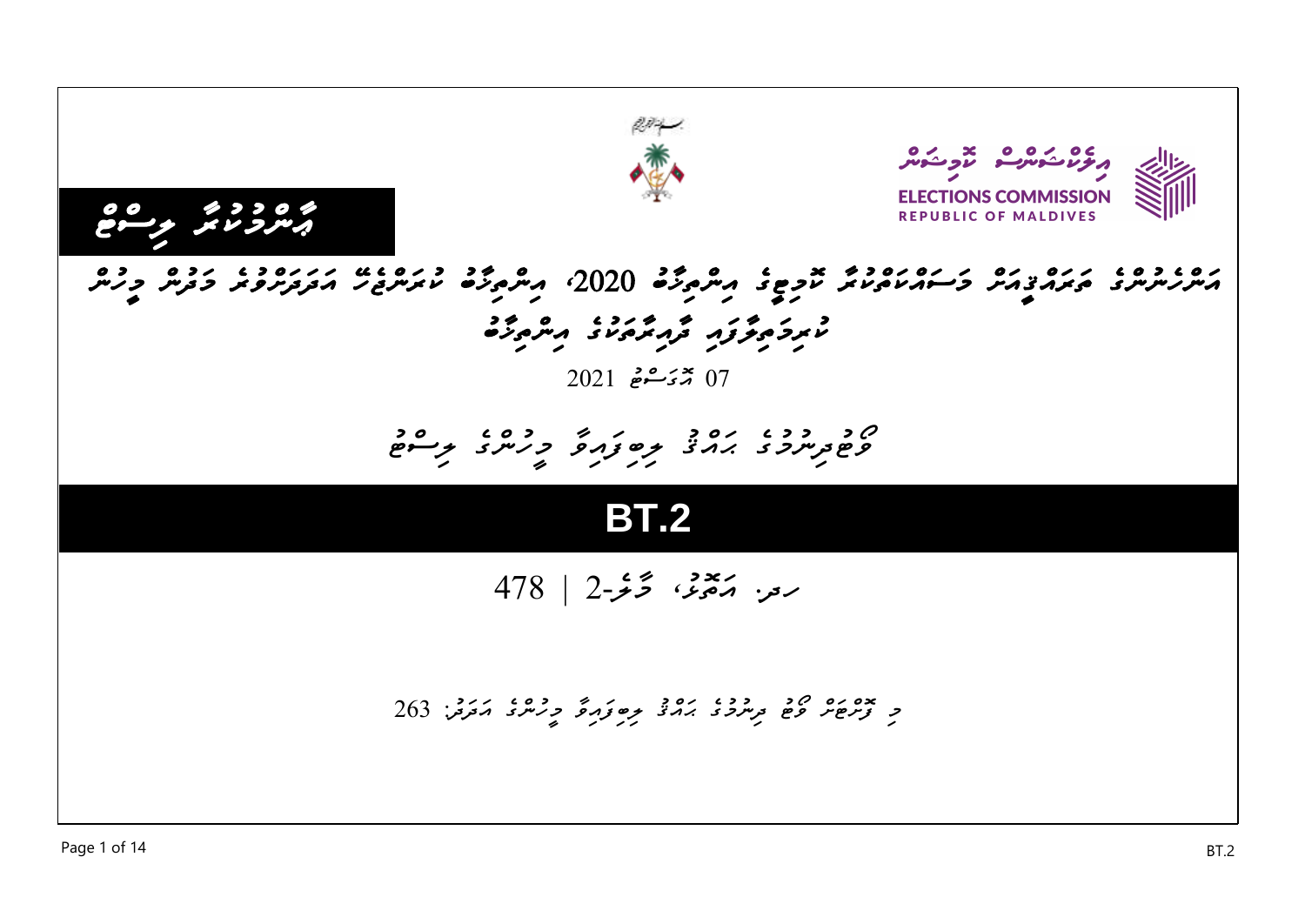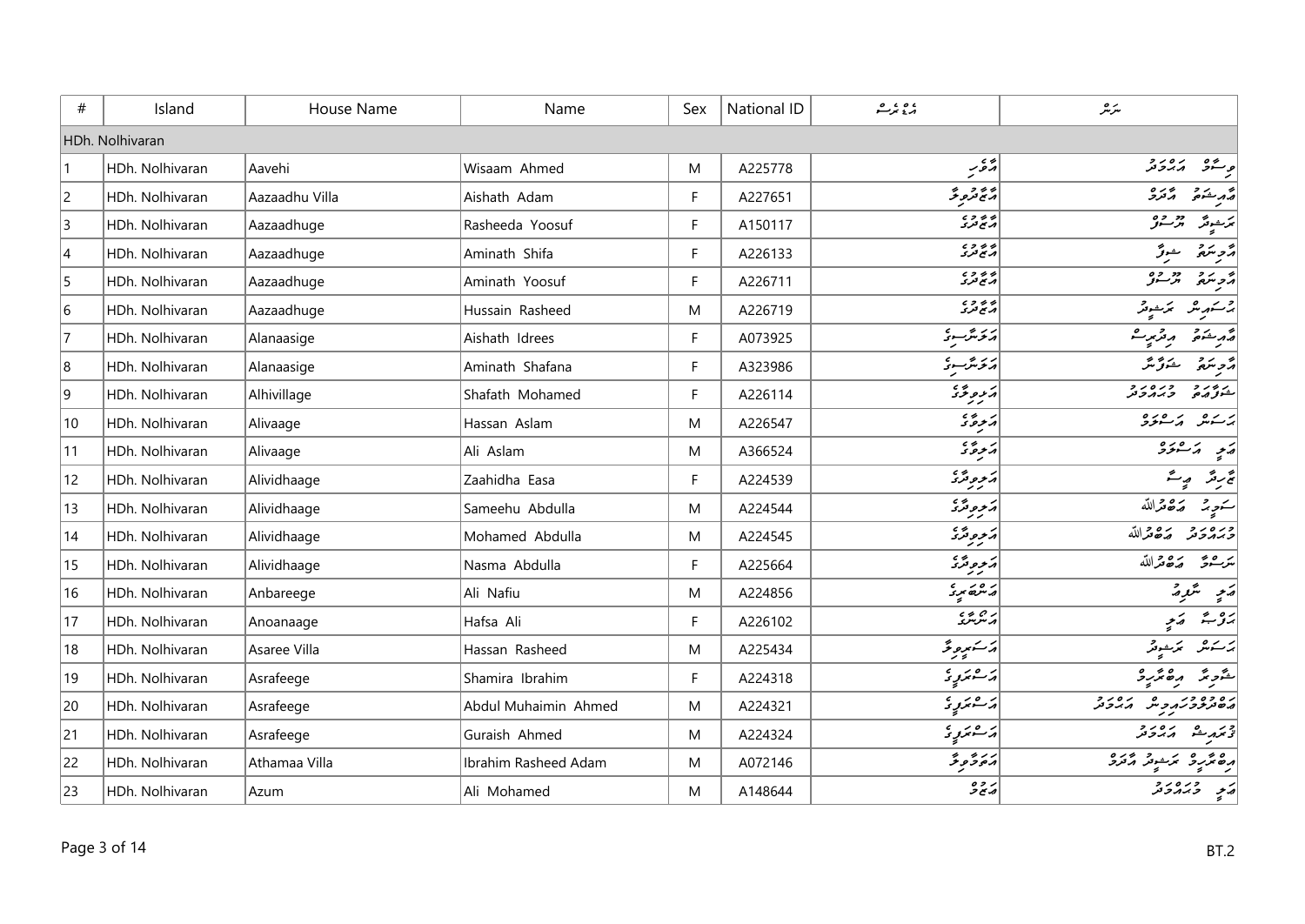| #              | Island          | House Name     | Name                 | Sex | National ID | ، ه ، ره<br>مره برگ                   | يترمثر                             |
|----------------|-----------------|----------------|----------------------|-----|-------------|---------------------------------------|------------------------------------|
|                | HDh. Nolhivaran |                |                      |     |             |                                       |                                    |
| 1              | HDh. Nolhivaran | Aavehi         | Wisaam Ahmed         | M   | A225778     | لمحرمير                               | پرور و<br> ءِ سُدُوْ               |
| $\overline{2}$ | HDh. Nolhivaran | Aazaadhu Villa | Aishath Adam         | F.  | A227651     | ۇ ئىم قر <sub>ى</sub> ر ئىگە          | أمار مشتوح المرادح                 |
| 3              | HDh. Nolhivaran | Aazaadhuge     | Rasheeda Yoosuf      | F   | A150117     | ږ ږ و ء<br>پر سخ تور                  | برَے وز حرم دیں<br>  برے وز سر اگر |
| 4              | HDh. Nolhivaran | Aazaadhuge     | Aminath Shifa        | F   | A226133     | پر پر و بر<br>  پر سخ توری            | أرمح سورمج                         |
| 5              | HDh. Nolhivaran | Aazaadhuge     | Aminath Yoosuf       | F   | A226711     | پر پر و بر<br>  پر سخ توری            | أثرم شرد ودوه                      |
| 6              | HDh. Nolhivaran | Aazaadhuge     | Hussain Rasheed      | M   | A226719     | ه ۶ و ء<br>اړيخ تری                   | رحم المراكز المركب وكر             |
| $\overline{7}$ | HDh. Nolhivaran | Alanaasige     | Aishath Idrees       | F   | A073925     | ئەئەتىرىسى <sup>ي</sup>               | و<br>مەرشۇم مەرىپەت                |
| $\overline{8}$ | HDh. Nolhivaran | Alanaasige     | Aminath Shafana      | F   | A323986     | ئە ئەمەرىسى<br>                       | أروسكم فسأؤش                       |
| 9              | HDh. Nolhivaran | Alhivillage    | Shafath Mohamed      | F   | A226114     | بزودة                                 | أشؤوره ورەرد                       |
| 10             | HDh. Nolhivaran | Alivaage       | Hassan Aslam         | M   | A226547     | پەنوچ                                 | ئەسكەش كەسكە ئە                    |
| 11             | HDh. Nolhivaran | Alivaage       | Ali Aslam            | M   | A366524     | ر<br>پروگری                           | أەنبج أوسطى ورق                    |
| 12             | HDh. Nolhivaran | Alividhaage    | Zaahidha Easa        | F.  | A224539     | أزمز وترد                             | ې پر تر په م <sup>ستر</sup>        |
| $ 13\rangle$   | HDh. Nolhivaran | Alividhaage    | Sameehu Abdulla      | M   | A224544     | ر و و در و<br>مرمو و در               | سَوِيرٌ مَدْهَ مَدَاللّهَ          |
| 14             | HDh. Nolhivaran | Alividhaage    | Mohamed Abdulla      | M   | A224545     | ړ ده وگر <sup>ي</sup><br>مرم          | وره رو ده مدالله                   |
| 15             | HDh. Nolhivaran | Alividhaage    | Nasma Abdulla        | F   | A225664     | ر<br>د و و د د                        | يترعوش وكافترالله                  |
| 16             | HDh. Nolhivaran | Anbareege      | Ali Nafiu            | M   | A224856     | ر ٥ ر ٢<br>ډسر <del>ه</del> مړي       | ړې شره<br>دې شره<br>بروبه دې       |
| 17             | HDh. Nolhivaran | Anoanaage      | Hafsa Ali            | F.  | A226102     | ر ۾ ءِ ۽<br>مرس                       |                                    |
| 18             | HDh. Nolhivaran | Asaree Villa   | Hassan Rasheed       | M   | A225434     | ئەسەمبەھ بۇ                           | <br>  يَرْسَدُ مَنْ عَرَشُومُرٌ    |
| 19             | HDh. Nolhivaran | Asrafeege      | Shamira Ibrahim      | F   | A224318     | ىز س <sup>9</sup> ىئرى <sub>ۋ</sub> ئ | شوېر رەپرىر                        |
| 20             | HDh. Nolhivaran | Asrafeege      | Abdul Muhaimin Ahmed | M   | A224321     | پر ش <sub>م</sub> ېر <sub>ى</sub> ئى  | גם בפרגת כיר גברה                  |
| 21             | HDh. Nolhivaran | Asrafeege      | Guraish Ahmed        | M   | A224324     | ى مەمرى <sub>رى</sub>                 | تحترم مصروح                        |
| 22             | HDh. Nolhivaran | Athamaa Villa  | Ibrahim Rasheed Adam | M   | A072146     | ر ر په وگړ<br>مرمو څو مو              | معتبرة بمشوتر مترة                 |
| 23             | HDh. Nolhivaran | Azum           | Ali Mohamed          | M   | A148644     | بر و ه<br>در پار                      | أوسمج وبرورة                       |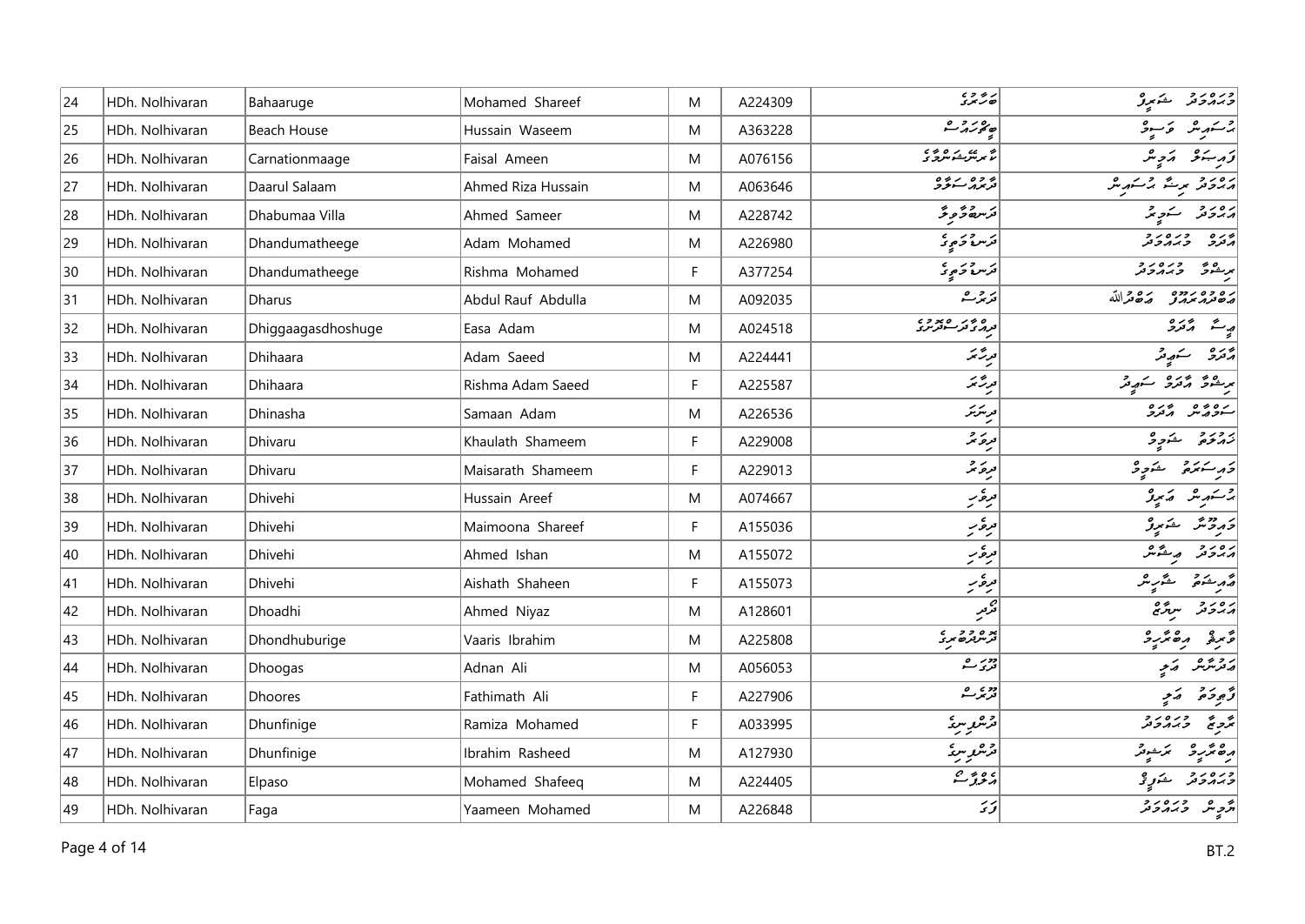| 24 | HDh. Nolhivaran | Bahaaruge          | Mohamed Shareef    | M  | A224309 | پر جو ي<br>  جو جو ي                 | ورەر ئەيرۇ                                      |
|----|-----------------|--------------------|--------------------|----|---------|--------------------------------------|-------------------------------------------------|
| 25 | HDh. Nolhivaran | <b>Beach House</b> | Hussain Waseem     | M  | A363228 | ھەممەر 2                             | 2 سەر سىر ھەسىرى<br> -                          |
| 26 | HDh. Nolhivaran | Carnationmaage     | Faisal Ameen       | M  | A076156 | ر<br>ئامرىتىشكە بىرى ئ               | تەرىبىق مەرچى                                   |
| 27 | HDh. Nolhivaran | Daarul Salaam      | Ahmed Riza Hussain | M  | A063646 | پر وه رسر په ه<br>تربر پر سکوگر      | رەرد برگ رىكىرىگ                                |
| 28 | HDh. Nolhivaran | Dhabumaa Villa     | Ahmed Sameer       | Μ  | A228742 | تەسھۇمۇ ئى                           | رەرو سەچە                                       |
| 29 | HDh. Nolhivaran | Dhandumatheege     | Adam Mohamed       | M  | A226980 | <br>  ترسره تر م <sub>و</sub> ر      | وره دره دو<br>مرکز وبرمرونر                     |
| 30 | HDh. Nolhivaran | Dhandumatheege     | Rishma Mohamed     | F  | A377254 | ئەسرە ئەھ <sub>ۇ</sub> ئ             | برشوش وبره رو                                   |
| 31 | HDh. Nolhivaran | <b>Dharus</b>      | Abdul Rauf Abdulla | M  | A092035 | ىر جەم<br>قىرىمەت                    | ره وه ردده بره دالله<br>مصر مرمر مرضی مرضورالله |
| 32 | HDh. Nolhivaran | Dhiggaagasdhoshuge | Easa Adam          | M  | A024518 | ه ۶ بر ۳۵ و و و<br>تورد د تورسوتورو  |                                                 |
| 33 | HDh. Nolhivaran | Dhihaara           | Adam Saeed         | M  | A224441 | قرر گئیر                             |                                                 |
| 34 | HDh. Nolhivaran | Dhihaara           | Rishma Adam Saeed  | F. | A225587 | مررٌ تَرَ                            | برشوش أزوه المستهيض                             |
| 35 | HDh. Nolhivaran | Dhinasha           | Samaan Adam        | M  | A226536 | ورىترتر                              | شەھ بەرە                                        |
| 36 | HDh. Nolhivaran | Dhivaru            | Khaulath Shameem   | F  | A229008 | مریح تر                              | ترورو الشروع                                    |
| 37 | HDh. Nolhivaran | <b>Dhivaru</b>     | Maisarath Shameem  | F  | A229013 | ور 2 تر<br>مرغ <b>ر</b>              | ۇرىسىر ھۇر ئ                                    |
| 38 | HDh. Nolhivaran | Dhivehi            | Hussain Areef      | M  | A074667 | ا مور گر<br><u>سر</u> گر             | جەسىر سىر كەيدۇ                                 |
| 39 | HDh. Nolhivaran | <b>Dhivehi</b>     | Maimoona Shareef   | F  | A155036 | ورځ ر                                | درود شهرو                                       |
| 40 | HDh. Nolhivaran | Dhivehi            | Ahmed Ishan        | M  | A155072 | <sub>مور</sub> ة ر<br>  مسيح ر       | برەر دېگىر                                      |
| 41 | HDh. Nolhivaran | <b>Dhivehi</b>     | Aishath Shaheen    | F  | A155073 | قریح ر                               | وأرشكم شريد                                     |
| 42 | HDh. Nolhivaran | Dhoadhi            | Ahmed Niyaz        | M  | A128601 | o<br>تومر                            | ړه د پر سرگړي                                   |
| 43 | HDh. Nolhivaran | Dhondhuburige      | Vaaris Ibrahim     | M  | A225808 | پر و و و د ه<br>ترسرتر <i>ه بر</i> و | قرمرة مقترح                                     |
| 44 | HDh. Nolhivaran | Dhoogas            | Adnan Ali          | M  | A056053 | ددر م<br>تری سه                      | ر د پرې کرمړ                                    |
| 45 | HDh. Nolhivaran | <b>Dhoores</b>     | Fathimath Ali      | F  | A227906 | دد ،<br>تربر ک                       | و محمود المعموم المعنوم المحمد                  |
| 46 | HDh. Nolhivaran | Dhunfinige         | Ramiza Mohamed     | F  | A033995 | قرىثرى <sub>م</sub> سرى              | محرج وبرورد                                     |
| 47 | HDh. Nolhivaran | Dhunfinige         | Ibrahim Rasheed    | M  | A127930 | قرىتىر سرى<br>م                      | رەتمەر ئىنىۋىر<br>رەتمەر ئىنىۋىر                |
| 48 | HDh. Nolhivaran | Elpaso             | Mohamed Shafeeq    | M  | A224405 | ەدەپر                                | وره د چر ځوړ                                    |
| 49 | HDh. Nolhivaran | Faga               | Yaameen Mohamed    | Μ  | A226848 | قرتى                                 | أثرج بمردورة                                    |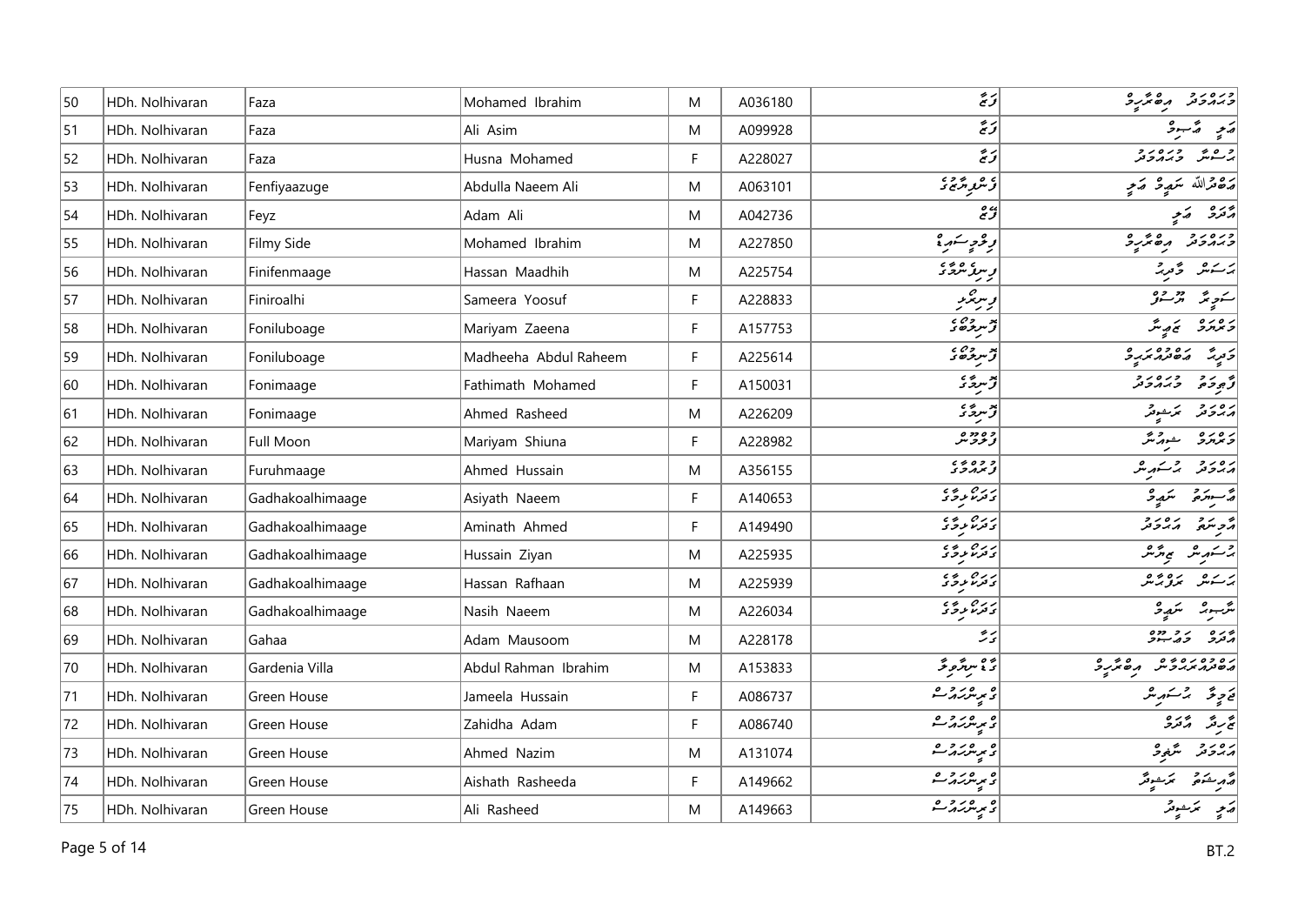| 50 | HDh. Nolhivaran | Faza               | Mohamed Ibrahim       | Μ  | A036180 | ترتج                                  | כמתכת תפתיק                                                                                                                          |
|----|-----------------|--------------------|-----------------------|----|---------|---------------------------------------|--------------------------------------------------------------------------------------------------------------------------------------|
| 51 | HDh. Nolhivaran | Faza               | Ali Asim              | M  | A099928 | ترتج                                  | $rac{3}{2}rac{3}{2}rac{1}{2}$                                                                                                        |
| 52 | HDh. Nolhivaran | Faza               | Husna Mohamed         | F. | A228027 | تریخ                                  | وحديد ورورد                                                                                                                          |
| 53 | HDh. Nolhivaran | Fenfiyaazuge       | Abdulla Naeem Ali     | M  | A063101 | ې هروگړۍ<br>نر مګرم کړې               | مَعْمَدَاللَّهَ سَمِيعٌ مَعِ                                                                                                         |
| 54 | HDh. Nolhivaran | Feyz               | Adam Ali              | Μ  | A042736 | ړه<br>تر م                            | أزنده أربح                                                                                                                           |
| 55 | HDh. Nolhivaran | Filmy Side         | Mohamed Ibrahim       | Μ  | A227850 | و ۋ <sub>جې</sub> سىدە                | כנסני תסתנים                                                                                                                         |
| 56 | HDh. Nolhivaran | Finifenmaage       | Hassan Maadhih        | M  | A225754 | و سرڈ شرد د                           | يركسكر المحافرة                                                                                                                      |
| 57 | HDh. Nolhivaran | Finiroalhi         | Sameera Yoosuf        | F  | A228833 | وسرچر                                 | $\begin{array}{c cc} \hline & \circ & \circ & \circ \\ \hline & \circ & \circ & \circ \\ \hline & \circ & \circ & \circ \end{array}$ |
| 58 | HDh. Nolhivaran | Foniluboage        | Mariyam Zaeena        | F. | A157753 | د ده ده د                             | رەرو ئەرش                                                                                                                            |
| 59 | HDh. Nolhivaran | Foniluboage        | Madheeha Abdul Raheem | F. | A225614 | پر سرده ،<br>ژمړنو ه ،                |                                                                                                                                      |
| 60 | HDh. Nolhivaran | Fonimaage          | Fathimath Mohamed     | F  | A150031 | بیر سرچ <sub>ک</sub>                  | و ره ر و<br>رنگرونر<br>ۇ بوز <i>ە</i>                                                                                                |
| 61 | HDh. Nolhivaran | Fonimaage          | Ahmed Rasheed         | M  | A226209 | بر<br>تر سرچ <sub>ک</sub>             | رەرو كەشەھ                                                                                                                           |
| 62 | HDh. Nolhivaran | Full Moon          | Mariyam Shiuna        | F  | A228982 | د ه دد ه<br>نو پر ش                   | ره ره شور ش                                                                                                                          |
| 63 | HDh. Nolhivaran | Furuhmaage         | Ahmed Hussain         | Μ  | A356155 | و وه پر پر<br>تو <i>پور</i> و پر      | رەرد ئەسەر                                                                                                                           |
| 64 | HDh. Nolhivaran | Gadhakoalhimaage   | Asiyath Naeem         | F  | A140653 | ر رە<br>ئەقدىم بورگى                  | $\begin{array}{cc}\n\bullet & \bullet & \bullet & \bullet \\ \bullet & \bullet & \bullet & \bullet\n\end{array}$                     |
| 65 | HDh. Nolhivaran | Gadhakoalhimaage   | Aminath Ahmed         | F  | A149490 | ر رہ<br>  ئ <sup>ی</sup> ترنگ عرومی   | הביתם המכנק                                                                                                                          |
| 66 | HDh. Nolhivaran | Gadhakoalhimaage   | Hussain Ziyan         | M  | A225935 | ر ره رو و<br>د تر نارو د              | يز سەر شەر بورگىش                                                                                                                    |
| 67 | HDh. Nolhivaran | Gadhakoalhimaage   | Hassan Rafhaan        | M  | A225939 | ر ره رو و<br>د تدرا برو د             | بركەش بروپرىش                                                                                                                        |
| 68 | HDh. Nolhivaran | Gadhakoalhimaaqe   | Nasih Naeem           | M  | A226034 | ر رہے ۔<br>  ئ <sup>ی ت</sup> عریف تح | لترجيب التمدفر                                                                                                                       |
| 69 | HDh. Nolhivaran | Gahaa              | Adam Mausoom          | Μ  | A228178 | ىرچ                                   | ر و دوه<br><del>د</del> پرسر<br>په ره<br>در ترو                                                                                      |
| 70 | HDh. Nolhivaran | Gardenia Villa     | Abdul Rahman Ibrahim  | Μ  | A153833 | وه مورځ و ځه                          | גם כם גם כם הם משלים                                                                                                                 |
| 71 | HDh. Nolhivaran | <b>Green House</b> | Jameela Hussain       | F  | A086737 | و پېر پرېژه م                         | ق ج ق - جر سكور مثر                                                                                                                  |
| 72 | HDh. Nolhivaran | <b>Green House</b> | Zahidha Adam          | F  | A086740 | ه په ۱۳۷۴ کې                          | پچ <sub>مر</sub> قر<br>پر و<br>مرکزو                                                                                                 |
| 73 | HDh. Nolhivaran | Green House        | Ahmed Nazim           | M  | A131074 | ە بەي <i>رىرى</i> م                   | رەر ئەھمىدى                                                                                                                          |
| 74 | HDh. Nolhivaran | Green House        | Aishath Rasheeda      | F  | A149662 | ە بەي <i>رىرى</i> م                   | وكرمشكم المرموقر                                                                                                                     |
| 75 | HDh. Nolhivaran | <b>Green House</b> | Ali Rasheed           | M  | A149663 | ە بېرى <i>رى دە</i>                   | أركمني المخرجين                                                                                                                      |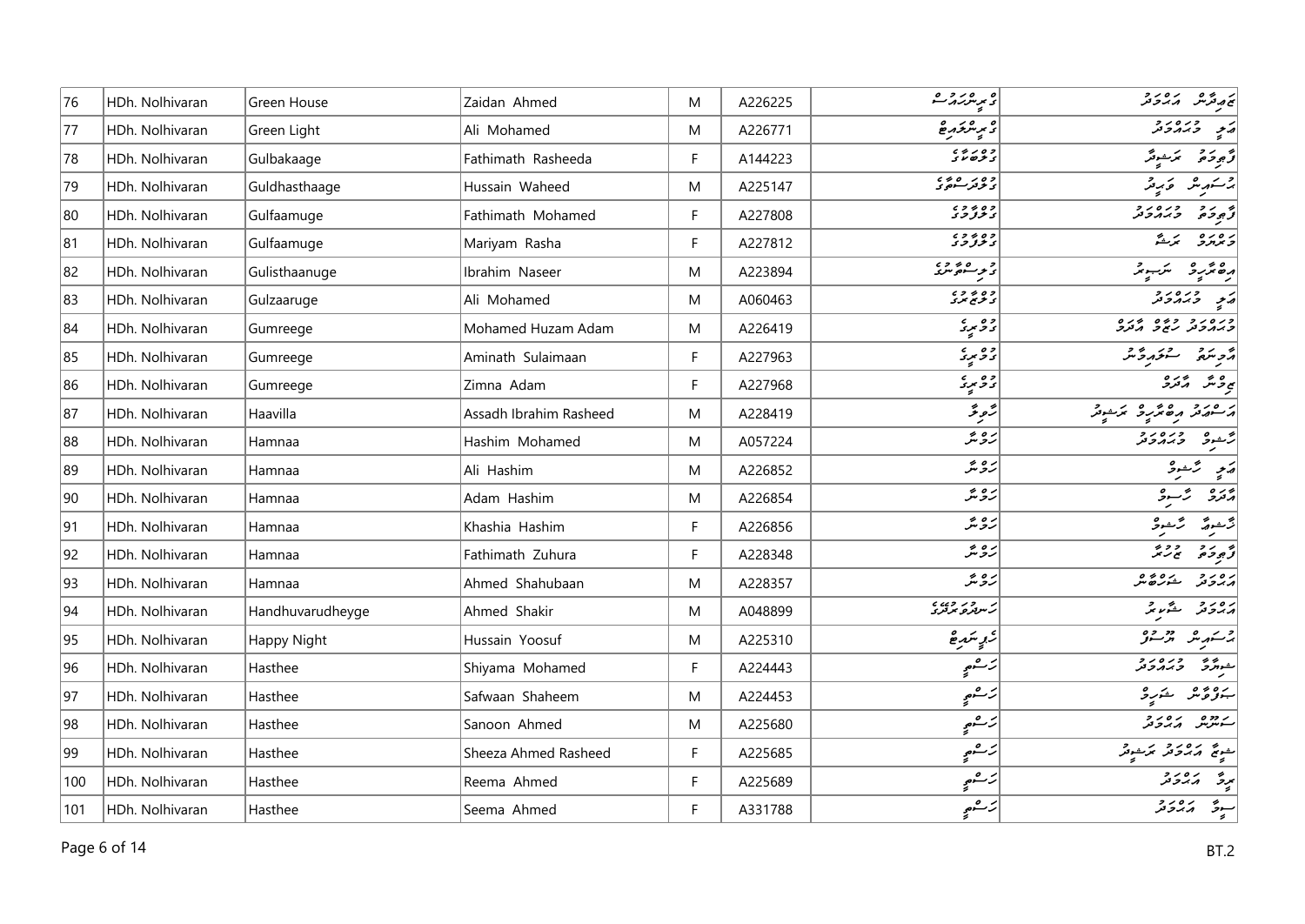| 76           | HDh. Nolhivaran | Green House      | Zaidan Ahmed           | M  | A226225 | دېمپر شرح ده<br>  دېمپر شرح ده                  | א המת הסנק                                                                                                                                                                                                                      |
|--------------|-----------------|------------------|------------------------|----|---------|-------------------------------------------------|---------------------------------------------------------------------------------------------------------------------------------------------------------------------------------------------------------------------------------|
| 77           | HDh. Nolhivaran | Green Light      | Ali Mohamed            | M  | A226771 | <sub>جىمىي</sub> ىتى <i>دۇر</i> غ               | أيمو ورەرو                                                                                                                                                                                                                      |
| 78           | HDh. Nolhivaran | Gulbakaage       | Fathimath Rasheeda     | F  | A144223 |                                                 | و دو نرمونژ                                                                                                                                                                                                                     |
| 79           | HDh. Nolhivaran | Guldhasthaage    | Hussain Waheed         | M  | A225147 | و ه بر ره پ <sub>ر</sub> بر<br>بر موتور سومو بر | 2 سەر شەر ئەر <i>قى</i> ر                                                                                                                                                                                                       |
| 80           | HDh. Nolhivaran | Gulfaamuge       | Fathimath Mohamed      | F  | A227808 | وه ۶ و ۲<br>کاموگر د ک                          | و د دره در                                                                                                                                                                                                                      |
| 81           | HDh. Nolhivaran | Gulfaamuge       | Mariyam Rasha          | F  | A227812 | و ه و و ء<br>د ترتر تر د                        | ترەرە يەش                                                                                                                                                                                                                       |
| 82           | HDh. Nolhivaran | Gulisthaanuge    | Ibrahim Naseer         | M  | A223894 | د وره ه ژه د ،                                  | رە ئەر ئىسىد                                                                                                                                                                                                                    |
| 83           | HDh. Nolhivaran | Gulzaaruge       | Ali Mohamed            | M  | A060463 | و ه پر و ،<br>د نومځ مرد                        | أقدم وبره رو                                                                                                                                                                                                                    |
| 84           | HDh. Nolhivaran | Gumreege         | Mohamed Huzam Adam     | M  | A226419 | وه پرې<br>د وب                                  |                                                                                                                                                                                                                                 |
| 85           | HDh. Nolhivaran | Gumreege         | Aminath Sulaimaan      | F  | A227963 | و ه<br>د و مړی                                  | أأرجد المتفاريخ المراجح                                                                                                                                                                                                         |
| 86           | HDh. Nolhivaran | Gumreege         | Zimna Adam             | F  | A227968 | د ه پری<br>  د ح مړند                           | ى ئەشرىق ئەرە                                                                                                                                                                                                                   |
| 87           | HDh. Nolhivaran | Haavilla         | Assadh Ibrahim Rasheed | M  | A228419 | رَّحْرِ بَحَر                                   | ג בגוב תפוציב ולייני                                                                                                                                                                                                            |
| 88           | HDh. Nolhivaran | Hamnaa           | Hashim Mohamed         | M  | A057224 | رە پۇ                                           | مح شوق وبرور و<br>گشوق وبرامرونر                                                                                                                                                                                                |
| 89           | HDh. Nolhivaran | Hamnaa           | Ali Hashim             | M  | A226852 | رە پۇ                                           | ړې رمنونه<br>مړينې                                                                                                                                                                                                              |
| $ 90\rangle$ | HDh. Nolhivaran | Hamnaa           | Adam Hashim            | M  | A226854 | ره پژ                                           | ۇرە ئەسەۋ                                                                                                                                                                                                                       |
| 91           | HDh. Nolhivaran | Hamnaa           | Khashia Hashim         | F  | A226856 | رە پۇ                                           | رٌ ئىنىدۇ<br>رسمبر<br>مراجع<br>مراجع                                                                                                                                                                                            |
| 92           | HDh. Nolhivaran | Hamnaa           | Fathimath Zuhura       | F. | A228348 | ره پژ                                           | تومزة وديمه                                                                                                                                                                                                                     |
| 93           | HDh. Nolhivaran | Hamnaa           | Ahmed Shahubaan        | M  | A228357 | رە پۇ                                           | بر ه بر د<br>م <i>ر</i> گرفتر<br>شەرە ئەر                                                                                                                                                                                       |
| 94           | HDh. Nolhivaran | Handhuvarudheyge | Ahmed Shakir           | M  | A048899 |                                                 | رەرد شىر                                                                                                                                                                                                                        |
| 95           | HDh. Nolhivaran | Happy Night      | Hussain Yoosuf         | M  | A225310 | ر بو سَرم هِ                                    | جر سمبر میں مرکب دو<br>مرکب مرکب مرکب دو                                                                                                                                                                                        |
| 96           | HDh. Nolhivaran | Hasthee          | Shiyama Mohamed        | F  | A224443 | ر<br>ساھي <sub>و</sub>                          | شوري 1979 كار در در بالاراد بالاراد بالاراد بالاراد بالاراد بالاراد بالاراد بالاراد بالاراد بالاراد بالاراد با<br>مسائل بالاراد بالاراد بالاراد بالاراد بالاراد بالاراد بالاراد بالاراد بالاراد بالاراد بالاراد بالاراد بالاراد |
| 97           | HDh. Nolhivaran | Hasthee          | Safwaan Shaheem        | M  | A224453 | ر<br>ساھي <sub>و</sub>                          | برەپ ھەر ھەر ئ                                                                                                                                                                                                                  |
| 98           | HDh. Nolhivaran | Hasthee          | Sanoon Ahmed           | M  | A225680 | ئرشو                                            | مدوره ده د ور                                                                                                                                                                                                                   |
| 99           | HDh. Nolhivaran | Hasthee          | Sheeza Ahmed Rasheed   | F  | A225685 | ئەشقىچ                                          | شویخ که برد و کر مرکبودگر<br>  دیگر در ایران کرد و برگ                                                                                                                                                                          |
| 100          | HDh. Nolhivaran | Hasthee          | Reema Ahmed            | F  | A225689 | ئر شو.                                          | برڈ הرور و                                                                                                                                                                                                                      |
| 101          | HDh. Nolhivaran | Hasthee          | Seema Ahmed            | F  | A331788 | ئرشو                                            | سوځ پر د در                                                                                                                                                                                                                     |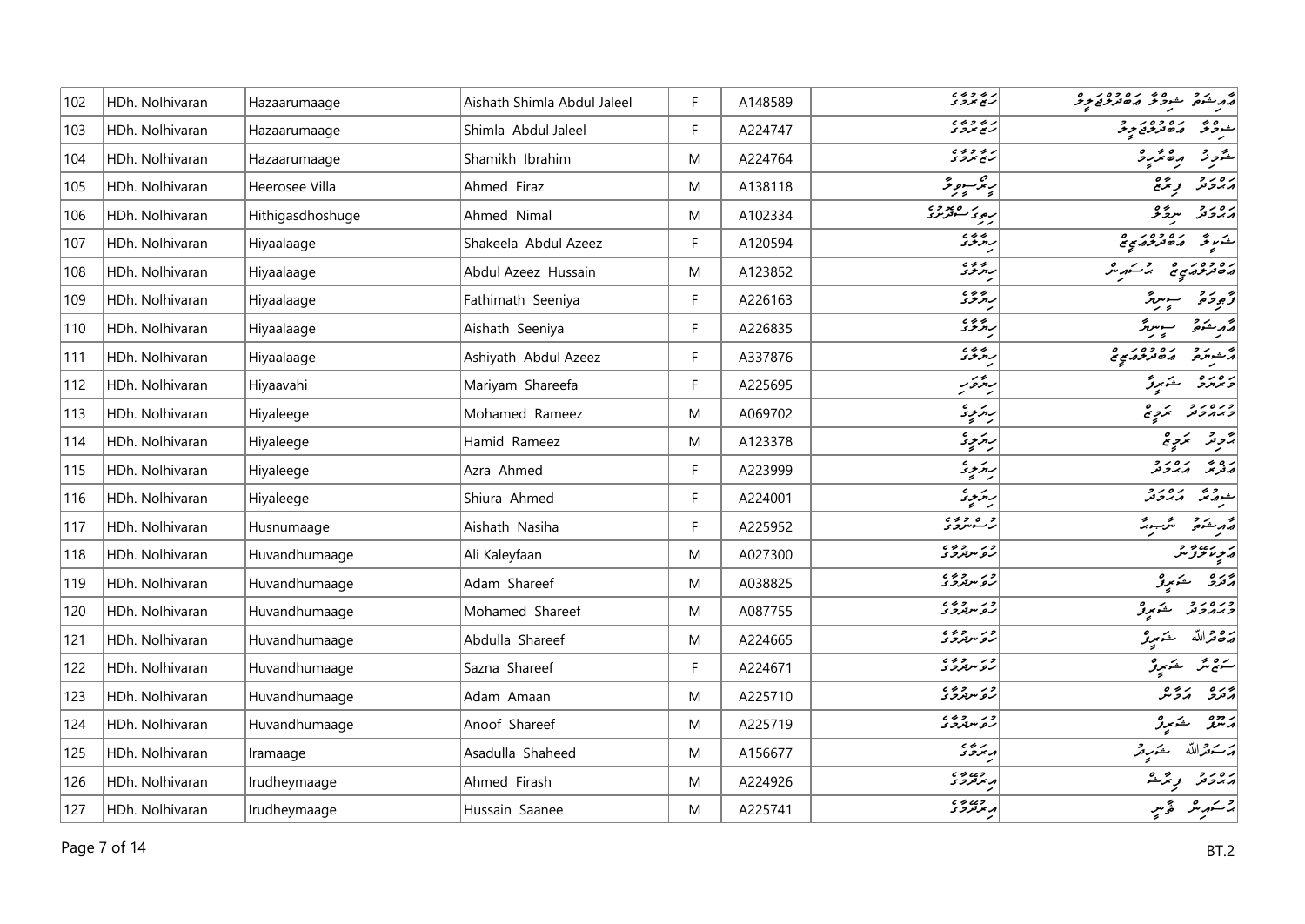| 102 | HDh. Nolhivaran | Hazaarumaage     | Aishath Shimla Abdul Jaleel | F           | A148589 | پر چه چه ی<br>  پر پی مورد ی          | <i>و مرحدة حود و معترفية و د</i>  |
|-----|-----------------|------------------|-----------------------------|-------------|---------|---------------------------------------|-----------------------------------|
| 103 | HDh. Nolhivaran | Hazaarumaage     | Shimla Abdul Jaleel         | F           | A224747 | ر ۶ و ۶ ی<br>تریخ بوری                | د وي ده ده د د د                  |
| 104 | HDh. Nolhivaran | Hazaarumaage     | Shamikh Ibrahim             | M           | A224764 | ر پر و پر ی<br>رسح بور <del>و</del> ی | ە ھەتئەر 2<br>بەھەتئەر 2<br>ڪُورُ |
| 105 | HDh. Nolhivaran | Heerosee Villa   | Ahmed Firaz                 | M           | A138118 | ر تر سوءِ قُر                         | برەر دېگى                         |
| 106 | HDh. Nolhivaran | Hithigasdhoshuge | Ahmed Nimal                 | M           | A102334 | اره د معدد و د<br>اره د مسور          | גם ג' תביב                        |
| 107 | HDh. Nolhivaran | Hiyaalaage       | Shakeela Abdul Azeez        | F           | A120594 | ر پڑی <sup>ج</sup>                    | شريد مەمدىمە                      |
| 108 | HDh. Nolhivaran | Hiyaalaage       | Abdul Azeez Hussain         | M           | A123852 | ر پور ہ<br>بر پور پی                  | رەدورى ئىسكىر                     |
| 109 | HDh. Nolhivaran | Hiyaalaage       | Fathimath Seeniya           | F           | A226163 | ر پڑی <sup>ج</sup>                    | ۇ بەر ئەسىر<br>كەن ئەسىر          |
| 110 | HDh. Nolhivaran | Hiyaalaage       | Aishath Seeniya             | F           | A226835 | ر پڑی م<br>ر پڑتو <sub>ک</sub>        |                                   |
| 111 | HDh. Nolhivaran | Hiyaalaage       | Ashiyath Abdul Azeez        | F           | A337876 | ر پور ہ<br>پ <b>ہ</b> بوگوی           | ה לייחד בין הסתיבה <sub>בו</sub>  |
| 112 | HDh. Nolhivaran | Hiyaavahi        | Mariyam Shareefa            | F           | A225695 | رېژو َر                               | وجريرو التكميرو                   |
| 113 | HDh. Nolhivaran | Hiyaleege        | Mohamed Rameez              | M           | A069702 | رېزېږ <sup>ي</sup><br>ر               | ورەرو كردە                        |
| 114 | HDh. Nolhivaran | Hiyaleege        | Hamid Rameez                | M           | A123378 | رېزىپە <sup>ي</sup>                   | پژونژ   ټرېږي                     |
| 115 | HDh. Nolhivaran | Hiyaleege        | Azra Ahmed                  | F           | A223999 | رېز پوت <sup>ې</sup>                  | ره بره رو<br>منرس مرک             |
| 116 | HDh. Nolhivaran | Hiyaleege        | Shiura Ahmed                | F           | A224001 | رېز پوت <sup>ې</sup>                  | شوری ره رو                        |
| 117 | HDh. Nolhivaran | Husnumaage       | Aishath Nasiha              | F           | A225952 | و ره وه و<br>ر                        | م ديده شبكي                       |
| 118 | HDh. Nolhivaran | Huvandhumaage    | Ali Kaleyfaan               | M           | A027300 | و ر په و ده و<br>رنو سرهرو د          | ە بەيدىن ئەر                      |
| 119 | HDh. Nolhivaran | Huvandhumaage    | Adam Shareef                | M           | A038825 | و ر په و د و<br>ر و سربرو د           | أردره المشتمور                    |
| 120 | HDh. Nolhivaran | Huvandhumaage    | Mohamed Shareef             | M           | A087755 | ور سروره د<br>ره سربرو د              | و رە ر د<br>تر پر تر تر<br>شەمبرى |
| 121 | HDh. Nolhivaran | Huvandhumaage    | Abdulla Shareef             | M           | A224665 | و ر په وه د<br>رو سربرو د             | برە تراللە<br>شەمرىر              |
| 122 | HDh. Nolhivaran | Huvandhumaage    | Sazna Shareef               | $\mathsf F$ | A224671 | ر در برور و در با<br>رگوس پروگر       | سەچ ئىگە سىكىنىدۇ                 |
| 123 | HDh. Nolhivaran | Huvandhumaage    | Adam Amaan                  | M           | A225710 | و ر پورې<br>روس پروگ                  | پره پرځمر                         |
| 124 | HDh. Nolhivaran | Huvandhumaage    | Anoof Shareef               | M           | A225719 | و ر په و ده و<br>رنو سرچرۍ            | ەردە<br>ے مور <sup>9</sup>        |
| 125 | HDh. Nolhivaran | Iramaage         | Asadulla Shaheed            | M           | A156677 | ەر بىرى ئ                             | وسيحقرالله شورقر                  |
| 126 | HDh. Nolhivaran | Irudheymaage     | Ahmed Firash                | M           | A224926 | <br>  پر برتر د ک                     | أرەر بەرشە                        |
| 127 | HDh. Nolhivaran | Irudheymaage     | Hussain Saanee              | M           | A225741 | د وړ، د ،<br>د برترو د                | بر ڪمريش ڏڻيسي                    |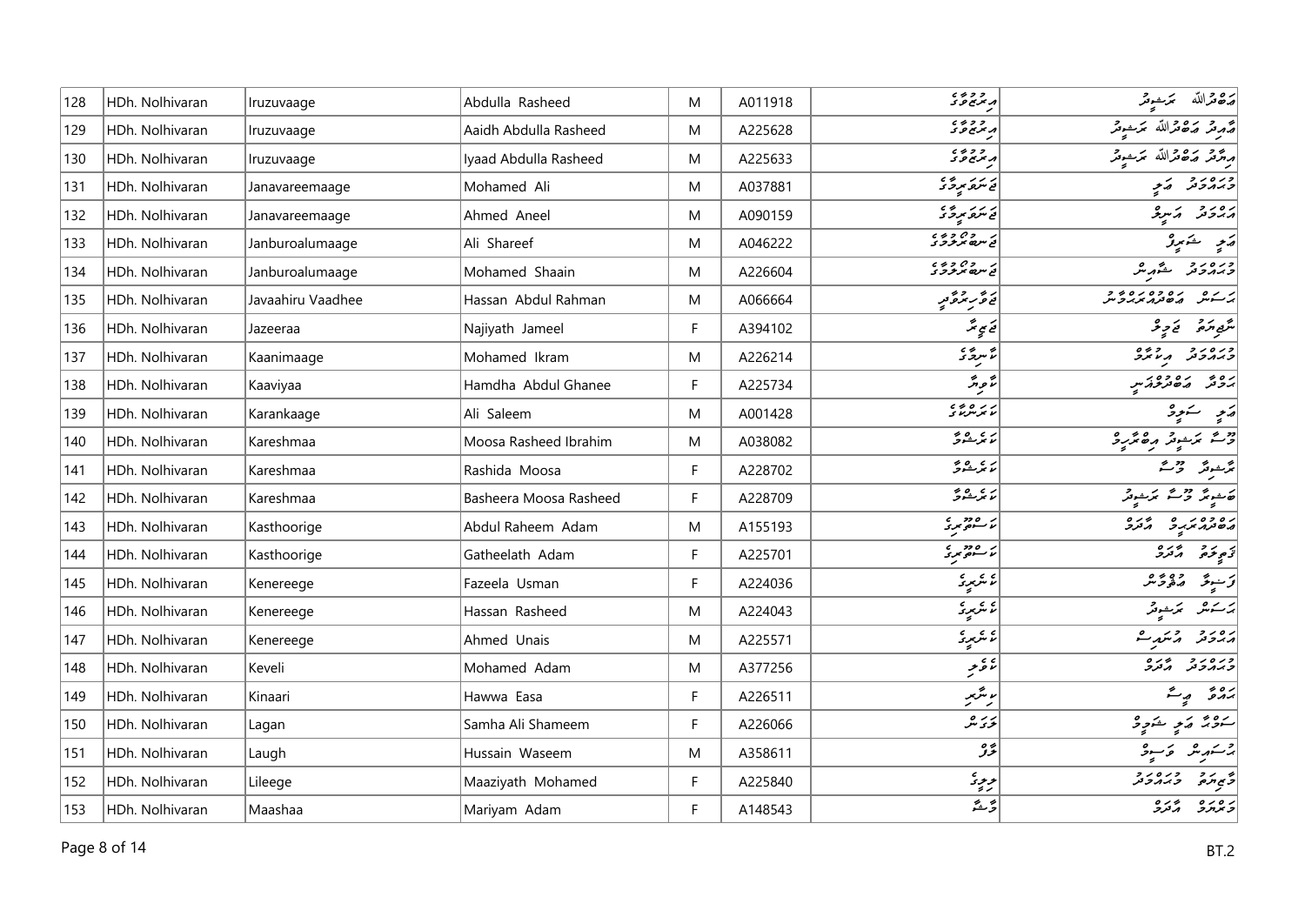| 128 | HDh. Nolhivaran | Iruzuvaage        | Abdulla Rasheed        | M           | A011918 | د و و د و<br>د مربح و د                 | أرة قرالله تمت يتعر                                                                                    |
|-----|-----------------|-------------------|------------------------|-------------|---------|-----------------------------------------|--------------------------------------------------------------------------------------------------------|
| 129 | HDh. Nolhivaran | Iruzuvaage        | Aaidh Abdulla Rasheed  | M           | A225628 | د و و د و<br>د مربح څر                  | محمد محصرالله مرشومر                                                                                   |
| 130 | HDh. Nolhivaran | Iruzuvaage        | Iyaad Abdulla Rasheed  | M           | A225633 | <br>  د برج څ و                         | ويرقد وكامحدالله بمرجوند                                                                               |
| 131 | HDh. Nolhivaran | Janavareemaage    | Mohamed Ali            | M           | A037881 | ئے مترکھ سرچ کی                         | ورەرو كەي                                                                                              |
| 132 | HDh. Nolhivaran | Janavareemaage    | Ahmed Aneel            | M           | A090159 | ئے مترکھ سرچ کی                         | أرەر ئەربى                                                                                             |
| 133 | HDh. Nolhivaran | Janburoalumaage   | Ali Shareef            | M           | A046222 | ر ده ده د<br>نج سره بروژ                | أەسمج التكامونى                                                                                        |
| 134 | HDh. Nolhivaran | Janburoalumaage   | Mohamed Shaain         | M           | A226604 | پر وہ وی ۽<br>  پئ سرھ بر وي            | ورەرو شەرش                                                                                             |
| 135 | HDh. Nolhivaran | Javaahiru Vaadhee | Hassan Abdul Rahman    | M           | A066664 | لى قرىر ترقر م <sub>ىي</sub>            | ر کره ده ده ده د و<br>بر کره می می در د                                                                |
| 136 | HDh. Nolhivaran | Jazeeraa          | Najiyath Jameel        | F           | A394102 | ئے بچ پُر                               | شمع يرقع في في في هي هو                                                                                |
| 137 | HDh. Nolhivaran | Kaanimaage        | Mohamed Ikram          | M           | A226214 | ءُ سرچءَ<br>ما                          | כנסנכ הדשב<br>כמהכת העיצב                                                                              |
| 138 | HDh. Nolhivaran | Kaaviyaa          | Hamdha Abdul Ghanee    | F           | A225734 | لتمورثر                                 | ره در رووه سر                                                                                          |
| 139 | HDh. Nolhivaran | Karankaage        | Ali Saleem             | M           | A001428 | ر ر ه و د ،<br>ما <del>ب</del> ر سربا د | ړنو شوده                                                                                               |
| 140 | HDh. Nolhivaran | Kareshmaa         | Moosa Rasheed Ibrahim  | M           | A038082 | ئەبۇر شەمۇ                              | دور می <sub>میکر</sub> شودگر در های در حا<br>افراد می می دور در های در حا<br>امریکی دور حالت می دور می |
| 141 | HDh. Nolhivaran | Kareshmaa         | Rashida Moosa          | $\mathsf F$ | A228702 | ئەبۇر شەمۇ                              |                                                                                                        |
| 142 | HDh. Nolhivaran | Kareshmaa         | Basheera Moosa Rasheed | F           | A228709 | ىر ئەھەتى                               | ەھىر ئۇ قات ئىرھىر                                                                                     |
| 143 | HDh. Nolhivaran | Kasthoorige       | Abdul Raheem Adam      | M           | A155193 | ر ۶۶۵ و.<br>ما سوج مرد                  |                                                                                                        |
| 144 | HDh. Nolhivaran | Kasthoorige       | Gatheelath Adam        | F           | A225701 | ر ۶۶۵ و.<br>ما سسوم مرد                 | تحميز ويمره                                                                                            |
| 145 | HDh. Nolhivaran | Kenereege         | Fazeela Usman          | F           | A224036 | ع متر پر <sup>ج</sup>                   | ۇ ئىدۇ مەھمۇش                                                                                          |
| 146 | HDh. Nolhivaran | Kenereege         | Hassan Rasheed         | M           | A224043 | ع متر پر <sup>ج</sup>                   | ر<br>ریکسنگر مر <sub>شو</sub> فر                                                                       |
| 147 | HDh. Nolhivaran | Kenereege         | Ahmed Unais            | M           | A225571 | ى ئىرىرى<br>ما مىرىپرى                  | رەرو دىكەب                                                                                             |
| 148 | HDh. Nolhivaran | Keveli            | Mohamed Adam           | M           | A377256 | ءءو                                     | ورەر د درە<br><i>دى</i> رمەد مەمر                                                                      |
| 149 | HDh. Nolhivaran | Kinaari           | Hawwa Easa             | F           | A226511 | ىرىتزىر                                 | پروڅ پرگ                                                                                               |
| 150 | HDh. Nolhivaran | Lagan             | Samha Ali Shameem      | F           | A226066 | ىر رە<br>مۇي ئىر                        | ے دی کے خود                                                                                            |
| 151 | HDh. Nolhivaran | Laugh             | Hussain Waseem         | M           | A358611 | تزوُ                                    | جرسكورش كالسوفر                                                                                        |
| 152 | HDh. Nolhivaran | Lileege           | Maaziyath Mohamed      | F           | A225840 | موموتى<br>مربو                          | و سمبر د<br>تر سمبر م<br>و ر ه ر د<br>تر پر ژنر                                                        |
| 153 | HDh. Nolhivaran | Maashaa           | Mariyam Adam           | F           | A148543 | رٌشَہُ                                  | י פים יינים<br>כימת כ                                                                                  |
|     |                 |                   |                        |             |         |                                         |                                                                                                        |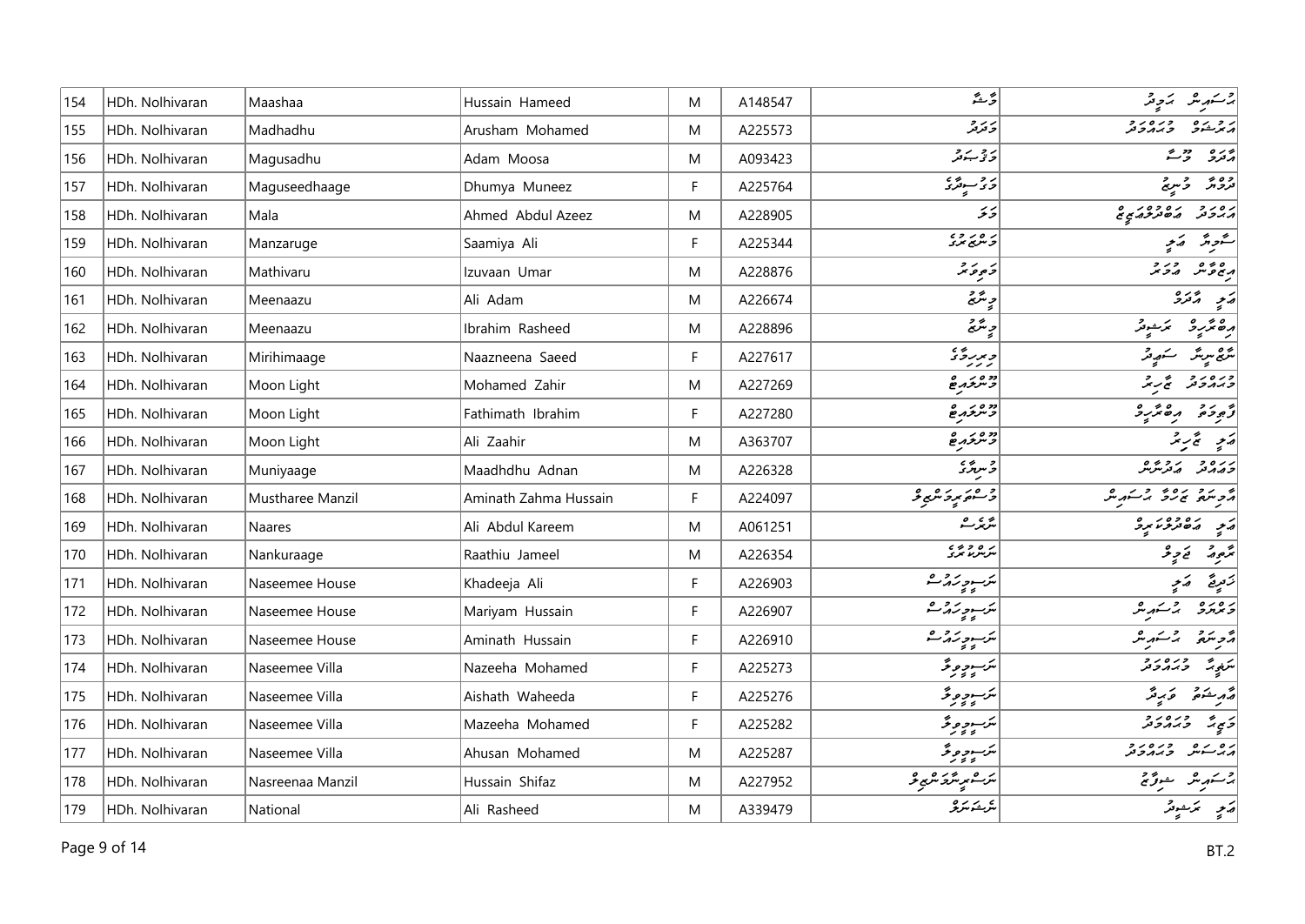| 154 | HDh. Nolhivaran | Maashaa          | Hussain Hameed        | M         | A148547 | رٌشَہُ                               | ىر سەر سىر بەر بەر ئەر ئەر<br>مەسىر       |
|-----|-----------------|------------------|-----------------------|-----------|---------|--------------------------------------|-------------------------------------------|
| 155 | HDh. Nolhivaran | Madhadhu         | Arusham Mohamed       | M         | A225573 | ر ر و<br>و ترتر                      | ر و ره در ورو.<br>د برخوش و <i>د</i> روتر |
| 156 | HDh. Nolhivaran | Magusadhu        | Adam Moosa            | M         | A093423 | ئەتق- ئەقىر                          | پر و دور                                  |
| 157 | HDh. Nolhivaran | Maguseedhaage    | Dhumya Muneez         | F.        | A225764 | ئەترىسىدىگە<br>  ئەترىپ ئەتىرى       | وه پر وسرچ<br>مر <i>و</i> ر وسرچ          |
| 158 | HDh. Nolhivaran | Mala             | Ahmed Abdul Azeez     | M         | A228905 | ىزى                                  |                                           |
| 159 | HDh. Nolhivaran | Manzaruge        | Saamiya Ali           | F         | A225344 | ر ۵ ر و ،<br>تر شریح مور             | ستوش كمنو                                 |
| 160 | HDh. Nolhivaran | Mathivaru        | Izuvaan Umar          | M         | A228876 | ځوړځه                                | $\frac{1}{2}$                             |
| 161 | HDh. Nolhivaran | Meenaazu         | Ali Adam              | ${\sf M}$ | A226674 | حریثر تح                             | $rac{1}{2}$                               |
| 162 | HDh. Nolhivaran | Meenaazu         | Ibrahim Rasheed       | M         | A228896 | حريثرج                               | رەنگەرى ئەھم<br>رەنگەرىگە ئەر             |
| 163 | HDh. Nolhivaran | Mirihimaage      | Naazneena Saeed       | F         | A227617 | او بور وي<br><u>در</u> در            |                                           |
| 164 | HDh. Nolhivaran | Moon Light       | Mohamed Zahir         | M         | A227269 | التشريح وهج                          |                                           |
| 165 | HDh. Nolhivaran | Moon Light       | Fathimath Ibrahim     | F         | A227280 | لتشريخه وهج                          | وموده مقترره                              |
| 166 | HDh. Nolhivaran | Moon Light       | Ali Zaahir            | M         | A363707 | ومرتزرة                              | أەسم يتجربتمر                             |
| 167 | HDh. Nolhivaran | Muniyaage        | Maadhdhu Adnan        | M         | A226328 | وسروء                                | גנס ב גרובים                              |
| 168 | HDh. Nolhivaran | Mustharee Manzil | Aminath Zahma Hussain | F         | A224097 | ۇ سو <sub>ئىم ئ</sub> وتىرى ئى       | أأوسم بمرد أوسكر                          |
| 169 | HDh. Nolhivaran | <b>Naares</b>    | Ali Abdul Kareem      | M         | A061251 | متزبر حر                             |                                           |
| 170 | HDh. Nolhivaran | Nankuraage       | Raathiu Jameel        | M         | A226354 | ر ه د و و ،<br>سرس مرد               | بمورث فيحيى                               |
| 171 | HDh. Nolhivaran | Naseemee House   | Khadeeja Ali          | F         | A226903 | يۇسوچە ئەرمىسى<br>                   | رَسِيعٌ صَحِ                              |
| 172 | HDh. Nolhivaran | Naseemee House   | Mariyam Hussain       | F         | A226907 | انترسوچە تەرقى<br>سىرتەرقىسى         |                                           |
| 173 | HDh. Nolhivaran | Naseemee House   | Aminath Hussain       | F         | A226910 | ىر سوپەر دەكتى<br>مەسىر              | ۇچرىئى ئەسكىرىگ                           |
| 174 | HDh. Nolhivaran | Naseemee Villa   | Nazeeha Mohamed       | F         | A225273 | ىئرسوچە <i>بە</i> ئە                 | شهر وره در<br>شهرت وبرود                  |
| 175 | HDh. Nolhivaran | Naseemee Villa   | Aishath Waheeda       | F         | A225276 | ىئەسىرە بۇ ئىچىمىتى<br>ئىستىمىتىلىكى | أقهر مشكاة وتميقر                         |
| 176 | HDh. Nolhivaran | Naseemee Villa   | Mazeeha Mohamed       | F         | A225282 | ىئەسىرە دۇ.<br>مەمۇرىيە              | لى 1019 درەر د                            |
| 177 | HDh. Nolhivaran | Naseemee Villa   | Ahusan Mohamed        | M         | A225287 | ىئەسىرە دۇ.<br>مەمۇرىيە              | ره ده دره دد                              |
| 178 | HDh. Nolhivaran | Nasreenaa Manzil | Hussain Shifaz        | M         | A227952 | ىرقىم بىر ئەسىم ب <mark>و</mark>     | ج سەر شەرىخ<br>بار ئىسىر كىلىمىتىسى بىر   |
| 179 | HDh. Nolhivaran | National         | Ali Rasheed           | M         | A339479 | ى<br>سرىشە سرچى                      | كالمح المخرجون                            |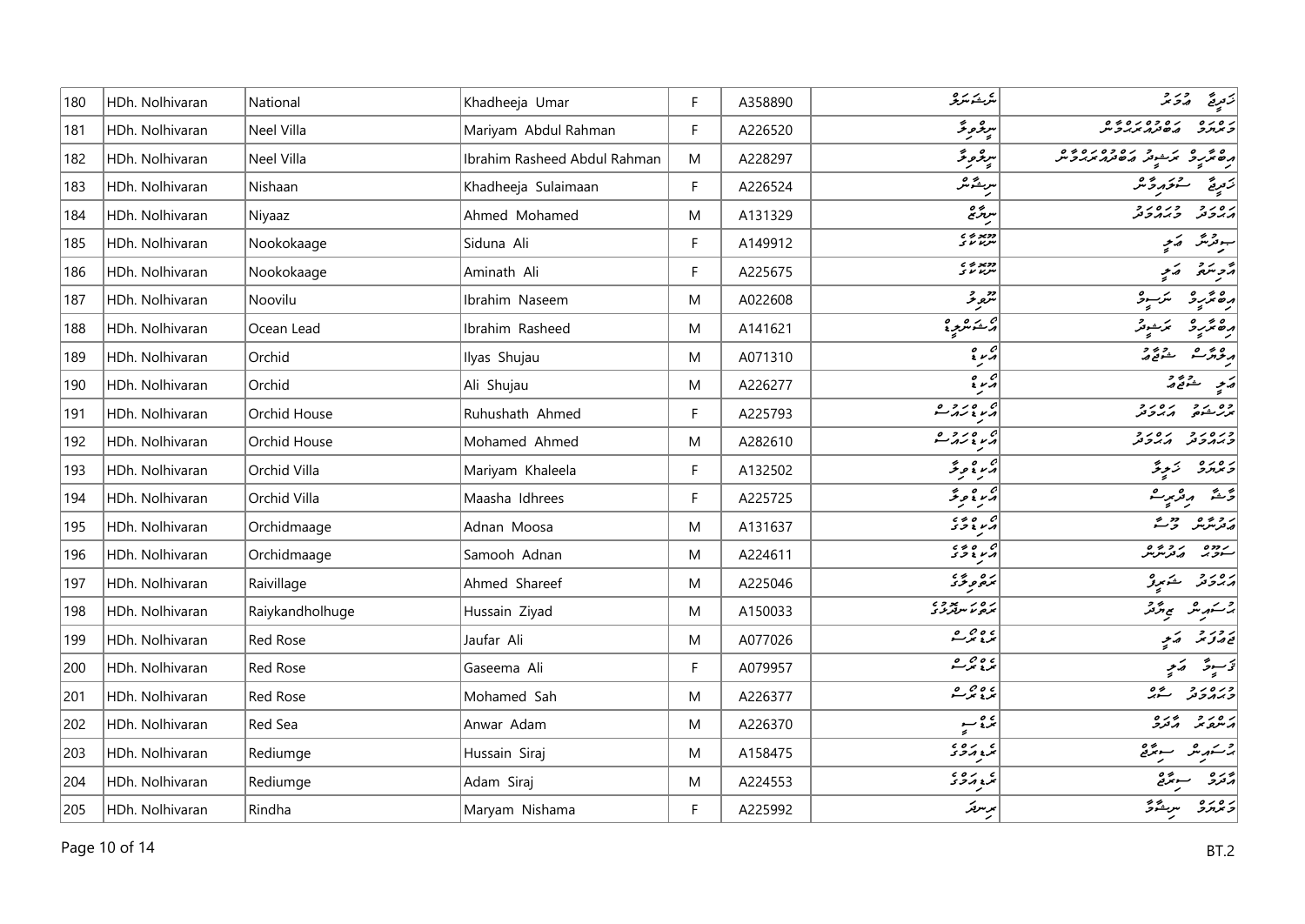| 180 | HDh. Nolhivaran | National          | Khadheeja Umar               | F  | A358890 | ىگ <sub>ە</sub> يىتىمىتىرىتى     | ور و<br>در تر<br> ترموقح                                         |
|-----|-----------------|-------------------|------------------------------|----|---------|----------------------------------|------------------------------------------------------------------|
| 181 | HDh. Nolhivaran | <b>Neel Villa</b> | Mariyam Abdul Rahman         | F. | A226520 | سرچرېڅر                          | ره وه ره د ه<br>پره تربر تر س<br>ر ه بر ه<br><del>و</del> بربر و |
| 182 | HDh. Nolhivaran | Neel Villa        | Ibrahim Rasheed Abdul Rahman | M  | A228297 | سرچوځه                           | رە ئەر 2 مەشرىق مەھەرمەر 2 مەر                                   |
| 183 | HDh. Nolhivaran | Nishaan           | Khadheeja Sulaimaan          | F. | A226524 | سرڪرمر                           | تزمرچَّ<br>شۇمە <i>ۋ</i> ىر                                      |
| 184 | HDh. Nolhivaran | Niyaaz            | Ahmed Mohamed                | M  | A131329 | سرگرم                            | و رە ر د<br><i>د بر</i> گرىر<br>ر ەر د                           |
| 185 | HDh. Nolhivaran | Nookokaage        | Siduna Ali                   | F  | A149912 | وویو پر پر<br>سربر رکھ ت         | سوند کرم                                                         |
| 186 | HDh. Nolhivaran | Nookokaage        | Aminath Ali                  | F  | A225675 | وویو پر ہ<br>سربر رکھ ت          | ړګو سره په کړ                                                    |
| 187 | HDh. Nolhivaran | Noovilu           | Ibrahim Naseem               | M  | A022608 | دو<br>متره پخه                   | دەنزىر<br>ىئرسەۋ                                                 |
| 188 | HDh. Nolhivaran | Ocean Lead        | Ibrahim Rasheed              | M  | A141621 | أومستمر                          | دەنزېږ<br>بخرشدقر                                                |
| 189 | HDh. Nolhivaran | Orchid            | Ilyas Shujau                 | M  | A071310 | ومرہ                             | اروژش<br>شقوقے ہر                                                |
| 190 | HDh. Nolhivaran | Orchid            | Ali Shujau                   | M  | A226277 | $rac{c}{\sqrt{2}}$               | ر<br>مرمو شوقے م                                                 |
| 191 | HDh. Nolhivaran | Orchid House      | Ruhushath Ahmed              | F  | A225793 |                                  | وه رو ره رو<br>بررشومی مربروتر                                   |
| 192 | HDh. Nolhivaran | Orchid House      | Mohamed Ahmed                | M  | A282610 |                                  | כנסנכ נסנכ<br>כגמכת הגכת                                         |
| 193 | HDh. Nolhivaran | Orchid Villa      | Mariyam Khaleela             | F  | A132502 | ەر بە ئوقر                       | د بر بر د کرد پر تر                                              |
| 194 | HDh. Nolhivaran | Orchid Villa      | Maasha Idhrees               | F  | A225725 | ەر بەر قر                        | دَّے پر مریرے                                                    |
| 195 | HDh. Nolhivaran | Orchidmaage       | Adnan Moosa                  | M  | A131637 |                                  | پروپر ووٹے                                                       |
| 196 | HDh. Nolhivaran | Orchidmaage       | Samooh Adnan                 | M  | A224611 | لرموء                            | ىر 3 مەركى<br>مەنترىنىز<br>سردوه                                 |
| 197 | HDh. Nolhivaran | Raivillage        | Ahmed Shareef                | M  | A225046 | ره<br>بره و ژی                   | أرەر ئىسىر                                                       |
| 198 | HDh. Nolhivaran | Raiykandholhuge   | Hussain Ziyad                | M  | A150033 | ر ٥ ر سر ۶ و ٢<br>بره د سرترنو د | يز سكر مثل من بر تركيز                                           |
| 199 | HDh. Nolhivaran | Red Rose          | Jaufar Ali                   | M  | A077026 | ې <i>۵۵ مې</i><br>مربع مرگ       | يرور و مر                                                        |
| 200 | HDh. Nolhivaran | Red Rose          | Gaseema Ali                  | F  | A079957 | <sup>ی ه 0</sup> مر م            | ۇسىرق كەم                                                        |
| 201 | HDh. Nolhivaran | Red Rose          | Mohamed Sah                  | M  | A226377 | بره جرحه                         | و رە ر د<br>تر پر تر تر<br>مشق                                   |
| 202 | HDh. Nolhivaran | Red Sea           | Anwar Adam                   | M  | A226370 | اعْمَعْ ہے                       |                                                                  |
| 203 | HDh. Nolhivaran | Rediumge          | Hussain Siraj                | M  | A158475 | برءة                             | برسكور عريقي                                                     |
| 204 | HDh. Nolhivaran | Rediumge          | Adam Siraj                   | M  | A224553 | ې ده ې<br>مرد تر د د             | $\overline{a}$<br>په ره<br>د ترو                                 |
| 205 | HDh. Nolhivaran | Rindha            | Maryam Nishama               | F  | A225992 | ابرسرتر                          | رەرە سەشۇ                                                        |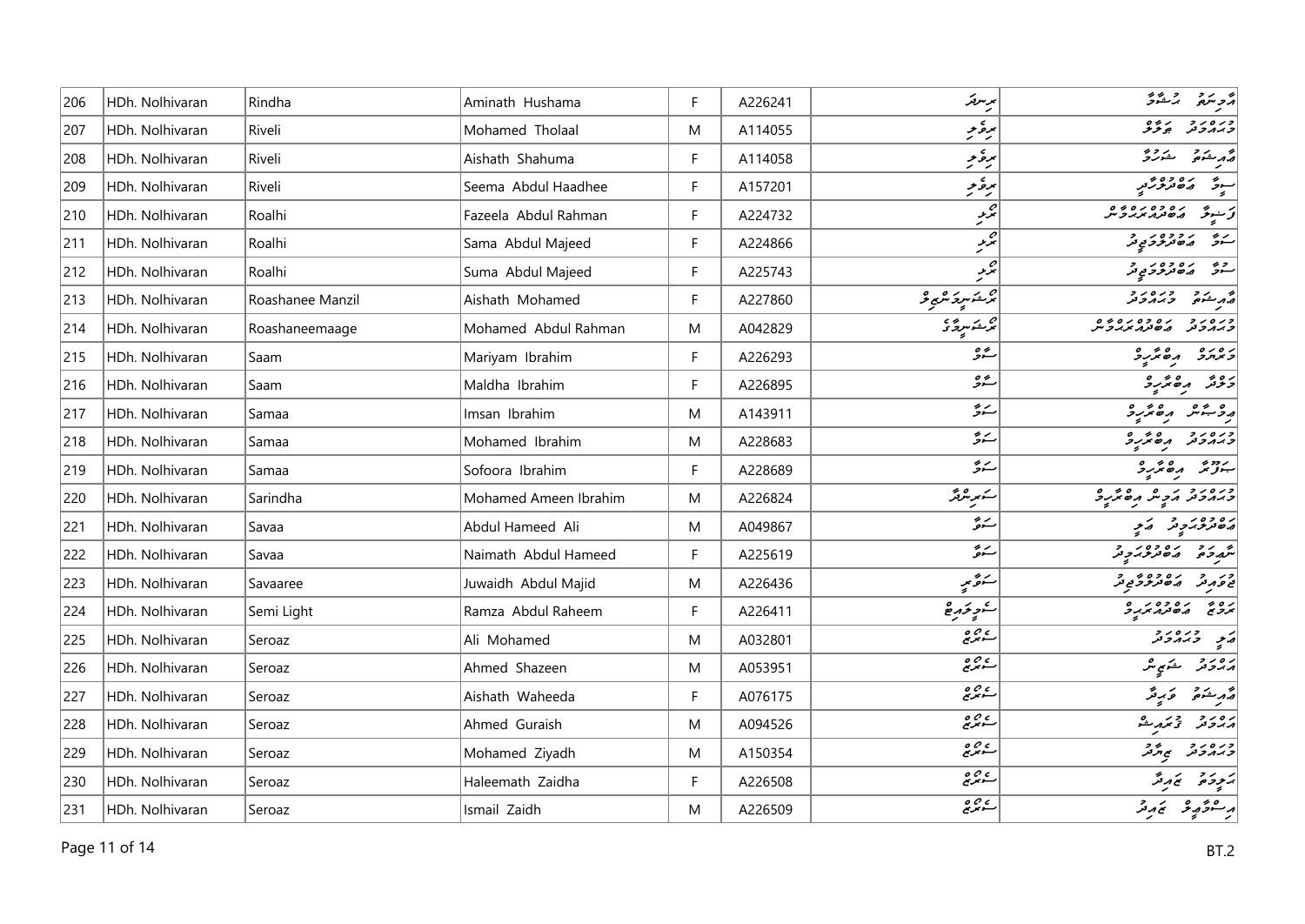| 206 | HDh. Nolhivaran | Rindha           | Aminath Hushama       | F  | A226241 | ا موسوفر                                           | أأدمره بمشكر                                                     |
|-----|-----------------|------------------|-----------------------|----|---------|----------------------------------------------------|------------------------------------------------------------------|
| 207 | HDh. Nolhivaran | Riveli           | Mohamed Tholaal       | M  | A114055 | برءثر                                              | و رە ر د<br><i>د بە</i> پەر تىر<br>بر پژو<br>جو <del>گر</del> گر |
| 208 | HDh. Nolhivaran | Riveli           | Aishath Shahuma       | F  | A114058 | برة و                                              | أوه مشكاة المستعاري                                              |
| 209 | HDh. Nolhivaran | Riveli           | Seema Abdul Haadhee   | F  | A157201 | برءٌ م                                             | سوځ مان ده ده د کړ                                               |
| 210 | HDh. Nolhivaran | Roalhi           | Fazeela Abdul Rahman  | F. | A224732 | تتحمز                                              | ره وه ره ده.<br>پره تربر تر تر<br>ۇ خەنۇ                         |
| 211 | HDh. Nolhivaran | Roalhi           | Sama Abdul Majeed     | F. | A224866 | ان<br>محم <sup>مو</sup> ر                          | ر د د د ده در د د<br>سرگ هان مرکز کام تو                         |
| 212 | HDh. Nolhivaran | Roalhi           | Suma Abdul Majeed     | F. | A225743 | $\left[\frac{3}{2}\right]$                         | ر د ده بره ده د پر<br>سرگان مان مرکز کار د                       |
| 213 | HDh. Nolhivaran | Roashanee Manzil | Aishath Mohamed       | F  | A227860 | ترىشىرىخىرى                                        | ه دره دره دره<br>مگرشوه وبردونر                                  |
| 214 | HDh. Nolhivaran | Roashaneemaage   | Mohamed Abdul Rahman  | M  | A042829 | ترىشە بېرىدى                                       | ر ه د ه د ه د ه<br>پره تربر تر تر<br>و ر ه ر د<br>تر پر ژ تر     |
| 215 | HDh. Nolhivaran | Saam             | Mariyam Ibrahim       | F. | A226293 | يحرو                                               | ەرھ ئ <sup>ۆ</sup> ر ۋ<br>ر ه بر ه<br><del>ر</del> بربرگر        |
| 216 | HDh. Nolhivaran | Saam             | Maldha Ibrahim        | F  | A226895 | سەۋ                                                | ەھ ئەرىر<br>ر ه بر<br>د نرگ                                      |
| 217 | HDh. Nolhivaran | Samaa            | Imsan Ibrahim         | M  | A143911 | سەۋ                                                | دە ئەرچ<br>ە ئەشر                                                |
| 218 | HDh. Nolhivaran | Samaa            | Mohamed Ibrahim       | M  | A228683 | سەبىج                                              | כממכני תפיתים                                                    |
| 219 | HDh. Nolhivaran | Samaa            | Sofoora Ibrahim       | F  | A228689 | سەبىج                                              | החמן הם <i>יל</i> יב                                             |
| 220 | HDh. Nolhivaran | Sarindha         | Mohamed Ameen Ibrahim | M  | A226824 | سە ئېرىشرىتر                                       | כנסנב הכיל הסתנב                                                 |
| 221 | HDh. Nolhivaran | Savaa            | Abdul Hameed Ali      | M  | A049867 | سترة                                               | גַ בְּבְּיָ בְּי בִי בְ                                          |
| 222 | HDh. Nolhivaran | Savaa            | Naimath Abdul Hameed  | F. | A225619 | ستهجّ                                              | شمروه ره وه د و                                                  |
| 223 | HDh. Nolhivaran | Savaaree         | Juwaidh Abdul Majid   | M  | A226436 | سەۋىپە                                             | ور د د ده وه و د<br>افغ د د ماه مرموگړ مر                        |
| 224 | HDh. Nolhivaran | Semi Light       | Ramza Abdul Raheem    | F  | A226411 | ع پر پر ھ<br>پ                                     | גם גם כסגם<br>גבא השינו גבר                                      |
| 225 | HDh. Nolhivaran | Seroaz           | Ali Mohamed           | M  | A032801 | بەھ ھ                                              | أمرم وره رد                                                      |
| 226 | HDh. Nolhivaran | Seroaz           | Ahmed Shazeen         | M  | A053951 | سوچرچ                                              | رەر ئىي ھ                                                        |
| 227 | HDh. Nolhivaran | Seroaz           | Aishath Waheeda       | F  | A076175 | $\overset{o}{\mathscr{E}}\overset{c}{\mathscr{F}}$ | أقهر مشكاة وتحميقه                                               |
| 228 | HDh. Nolhivaran | Seroaz           | Ahmed Guraish         | M  | A094526 | سەرى                                               | رەرد 3 <i>ج</i> رم ھ                                             |
| 229 | HDh. Nolhivaran | Seroaz           | Mohamed Ziyadh        | M  | A150354 | سەرى                                               | כממכת התנת                                                       |
| 230 | HDh. Nolhivaran | Seroaz           | Haleemath Zaidha      | F  | A226508 | سەمىي                                              | يَجِدَهُ لِمَهْ مِنْ                                             |
| 231 | HDh. Nolhivaran | Seroaz           | Ismail Zaidh          | M  | A226509 | يدحيح                                              | مەسىۋە يۇ سىم مەتر                                               |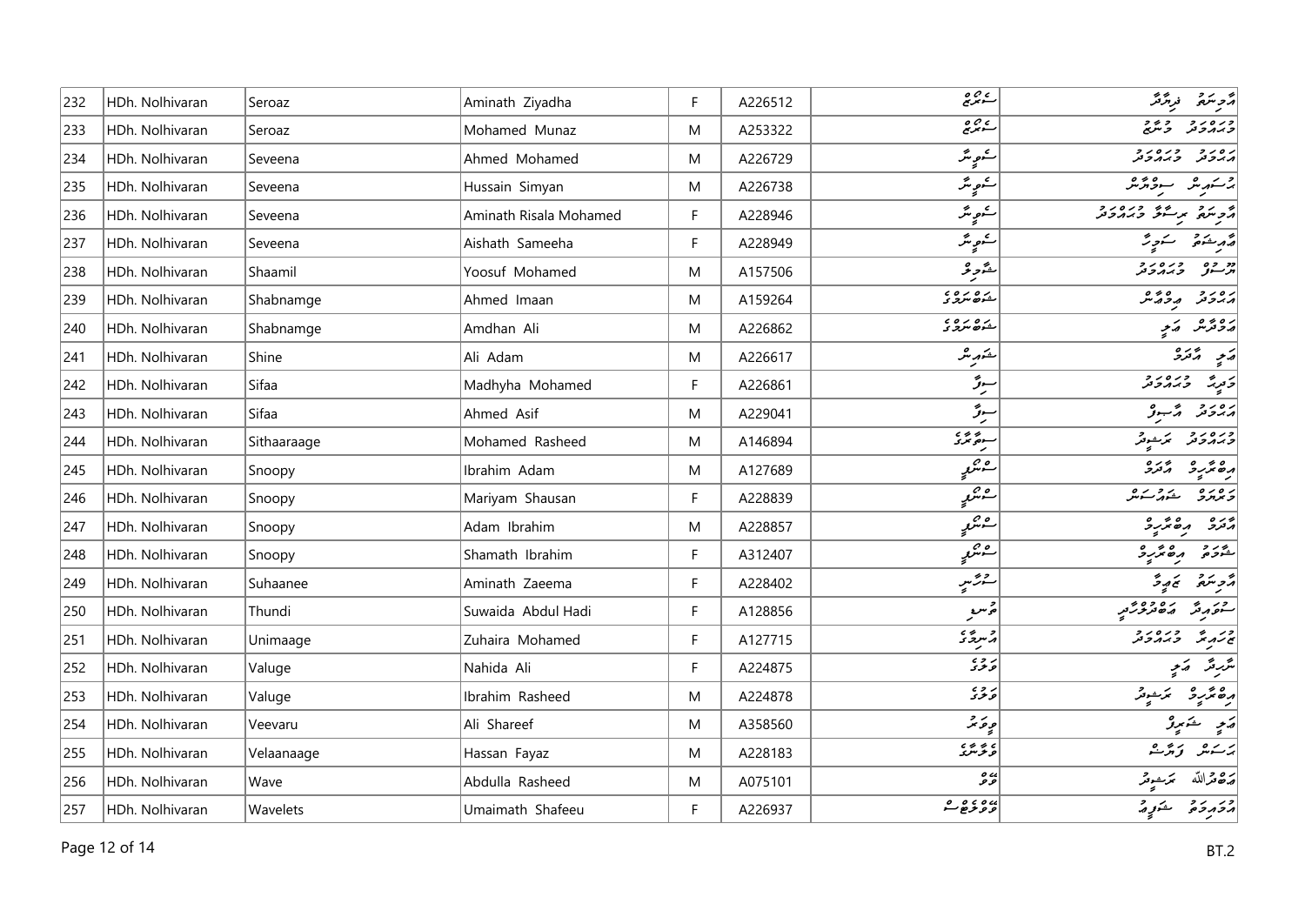| 232 | HDh. Nolhivaran | Seroaz      | Aminath Ziyadha        | $\mathsf F$ | A226512 | سەمىي                       | أأدوسكم فرائد                                         |
|-----|-----------------|-------------|------------------------|-------------|---------|-----------------------------|-------------------------------------------------------|
| 233 | HDh. Nolhivaran | Seroaz      | Mohamed Munaz          | M           | A253322 | ے صحیح<br>مست <i>وین</i>    | כנסנכ כבב                                             |
| 234 | HDh. Nolhivaran | Seveena     | Ahmed Mohamed          | M           | A226729 | سكوم مثر                    | و ره ر و<br>تر پر ژنر<br>پرور و                       |
| 235 | HDh. Nolhivaran | Seveena     | Hussain Simyan         | M           | A226738 | ء<br>سنو <sub>ء</sub> ِ مٿر | سودگر شر<br>ج <sub>ە</sub> سىئەر بىر                  |
| 236 | HDh. Nolhivaran | Seveena     | Aminath Risala Mohamed | F.          | A228946 | ء<br>سنو <sub>ء</sub> ِ مٿر | ה<br>הכיים, תייד במחבת                                |
| 237 | HDh. Nolhivaran | Seveena     | Aishath Sameeha        | F.          | A228949 | ء<br>سنو <sub>ء</sub> ِ مٿر | أقهر مشكرة والمسكنج تحريح                             |
| 238 | HDh. Nolhivaran | Shaamil     | Yoosuf Mohamed         | M           | A157506 | مشروعه                      | <mark>מ כם כמסמכ</mark><br>  <mark>ת – נ</mark> במאבט |
| 239 | HDh. Nolhivaran | Shabnamge   | Ahmed Imaan            | M           | A159264 | ر <i>ەھەرە ي</i>            | وژه شر<br>پر ژ د تر                                   |
| 240 | HDh. Nolhivaran | Shabnamge   | Amdhan Ali             | M           | A226862 | شەھ سرچ ي                   | رەپ كەي                                               |
| 241 | HDh. Nolhivaran | Shine       | Ali Adam               | M           | A226617 | ڪورنگر                      | ړ په د                                                |
| 242 | HDh. Nolhivaran | Sifaa       | Madhyha Mohamed        | F           | A226861 | سوقر                        | ىز مەيرىگە<br>م<br>و ره ر د<br><i>د ب</i> رگرفر       |
| 243 | HDh. Nolhivaran | Sifaa       | Ahmed Asif             | M           | A229041 | سوقر                        | رەرد دىبو                                             |
| 244 | HDh. Nolhivaran | Sithaaraage | Mohamed Rasheed        | M           | A146894 | د ده د د<br>سوځ بر د        | ورەرو كرشوتر                                          |
| 245 | HDh. Nolhivaran | Snoopy      | Ibrahim Adam           | M           | A127689 | سرميمو                      | پر ہ<br>مرتزو<br>ەرھەترىر <sup>ە</sup>                |
| 246 | HDh. Nolhivaran | Snoopy      | Mariyam Shausan        | F           | A228839 | <u> م</u> شمو               | ر ه ر ه<br><del>ر</del> بربرگ<br>ئەنە ئەركەنلەر       |
| 247 | HDh. Nolhivaran | Snoopy      | Adam Ibrahim           | M           | A228857 | سرجيمو                      | دە ئەرە<br>پەر ە<br>مەنىرى                            |
| 248 | HDh. Nolhivaran | Snoopy      | Shamath Ibrahim        | F.          | A312407 | يدجمعي                      | دە ئەرد<br>ر در د<br>ستون م                           |
| 249 | HDh. Nolhivaran | Suhaanee    | Aminath Zaeema         | F           | A228402 | بەيرىپر                     | ىمەق<br>أرمره                                         |
| 250 | HDh. Nolhivaran | Thundi      | Suwaida Abdul Hadi     | F           | A128856 | اقهبيع                      | ר גם בסבסת.<br>היסתית היסית בתוב                      |
| 251 | HDh. Nolhivaran | Unimaage    | Zuhaira Mohamed        | F.          | A127715 | د سرچ په<br>د سرچ پ         | و ره ر و<br><i>و ټ</i> رو تر<br>ىنى ئەمەمەتىر<br>م    |
| 252 | HDh. Nolhivaran | Valuge      | Nahida Ali             | F.          | A224875 | ر و ،<br>د تر               | ىتزىرىتر<br>م<br>ەتىر                                 |
| 253 | HDh. Nolhivaran | Valuge      | Ibrahim Rasheed        | M           | A224878 | ر و ،<br>حرمر               | رە ئۈرۈ<br>ىمەسىيەتىر                                 |
| 254 | HDh. Nolhivaran | Veevaru     | Ali Shareef            | M           | A358560 | عٍ عَرَ مَرْ                | ە ئەيدۇ                                               |
| 255 | HDh. Nolhivaran | Velaanaage  | Hassan Fayaz           | M           | A228183 | ، په په<br>ونژس             | ىز سەش بۇرگەش                                         |
| 256 | HDh. Nolhivaran | Wave        | Abdulla Rasheed        | M           | A075101 | ړه ه<br>حرچ                 | ەھەراللە<br>ىمەشەقر                                   |
| 257 | HDh. Nolhivaran | Wavelets    | Umaimath Shafeeu       | F.          | A226937 | ره ده ه م<br><i>و و و</i> چ | وكالمركا والمحاواة                                    |
|     |                 |             |                        |             |         |                             |                                                       |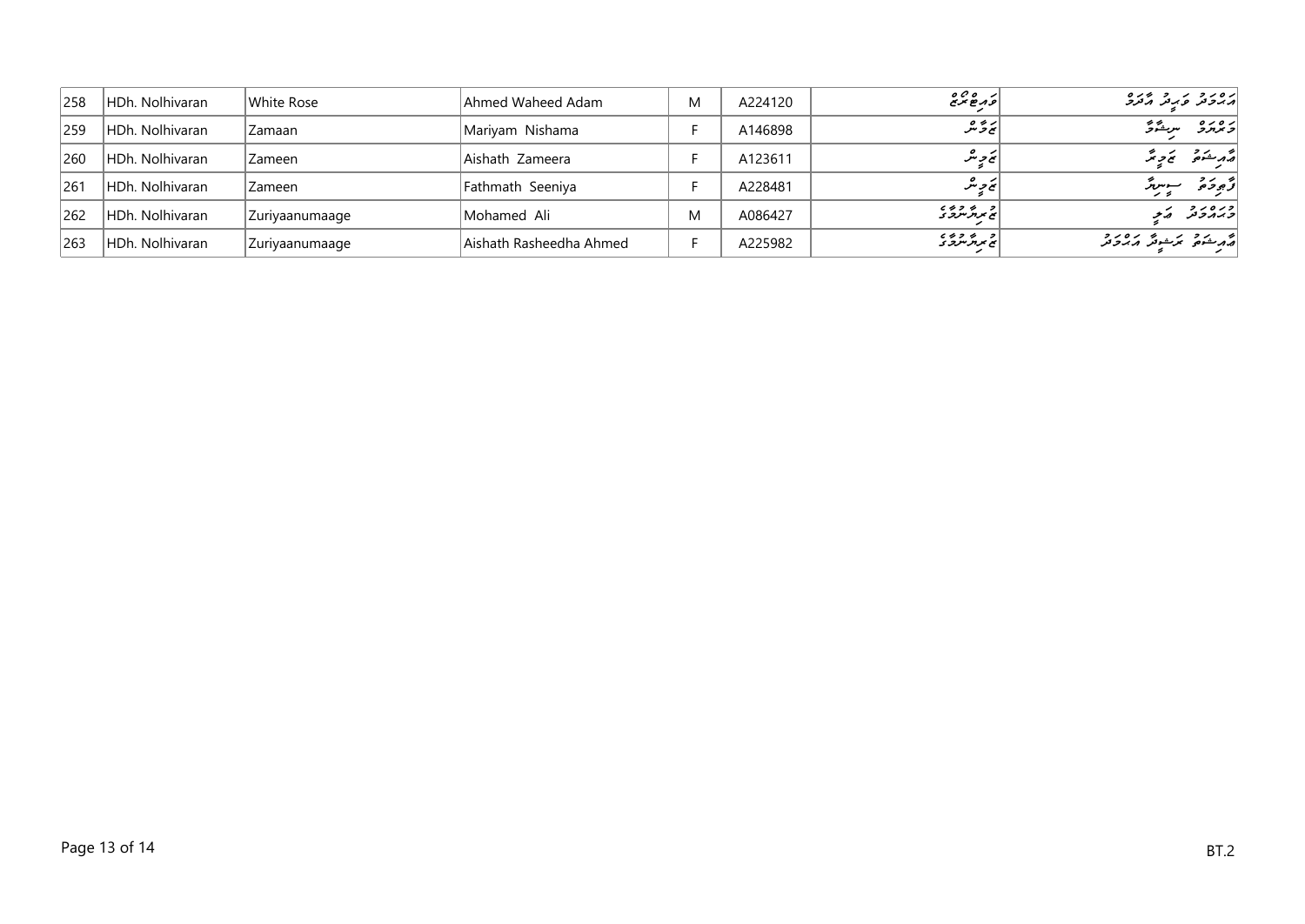| 258           | HDh. Nolhivaran | l White Rose   | Ahmed Waheed Adam       | M | A224120 | در ۱۵۵ ه                    | ره ر د په د و په ره<br>  پر بر تر پر تر پر تر تر |
|---------------|-----------------|----------------|-------------------------|---|---------|-----------------------------|--------------------------------------------------|
| $ 259\rangle$ | HDh. Nolhivaran | Zamaan         | Mariyam Nishama         |   | A146898 | ئەۋىتر                      | د ۱۵ د صريح و                                    |
| 260           | HDh. Nolhivaran | Zameen         | Aishath Zameera         |   | A123611 | ئج حر مگر                   | لەر ئىسكە ئى ئەر                                 |
| 261           | HDh. Nolhivaran | Zameen         | Fathmath Seeniya        |   | A228481 | يتجاوبتر                    | ا تۇ بو ئەھ<br>سىدىنى <i>گە</i>                  |
| 262           | HDh. Nolhivaran | Zuriyaanumaage | Mohamed Ali             | M | A086427 | 6424<br>  بع بحرام معربی ی  | وره دو کرم                                       |
| 263           | HDh. Nolhivaran | Zuriyaanumaage | Aishath Rasheedha Ahmed |   | A225982 | 69992<br>  بع بحرام معربی ی | أوكار كمشترك والمراكب والمراكب والمراكب          |